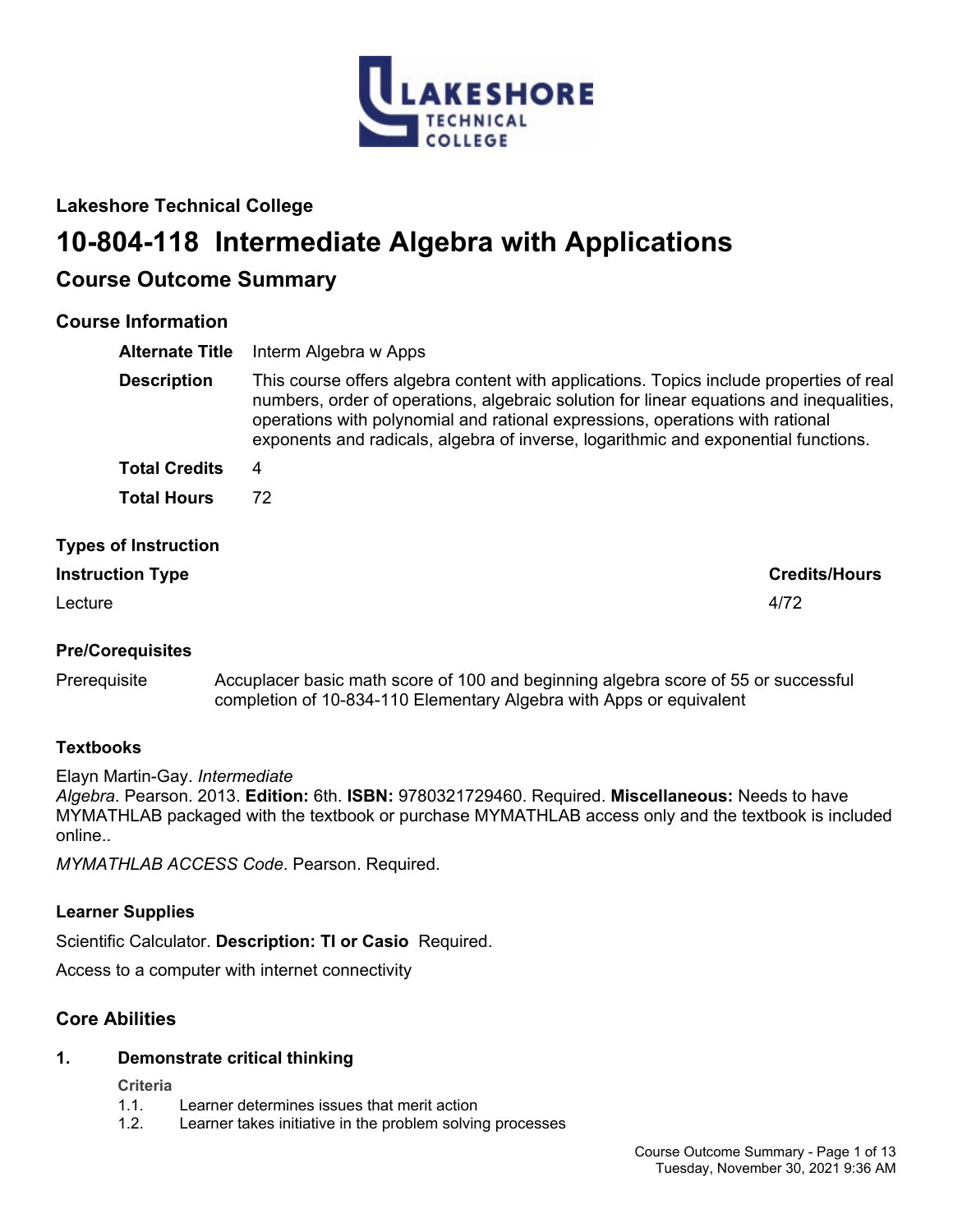

# **Lakeshore Technical College**

# **10-804-118 Intermediate Algebra with Applications**

# **Course Outcome Summary**

# **Course Information**

| <b>Alternate Title</b>      | Interm Algebra w Apps                                                                                                                                                                                                                                                                                                                                     |
|-----------------------------|-----------------------------------------------------------------------------------------------------------------------------------------------------------------------------------------------------------------------------------------------------------------------------------------------------------------------------------------------------------|
| <b>Description</b>          | This course offers algebra content with applications. Topics include properties of real<br>numbers, order of operations, algebraic solution for linear equations and inequalities,<br>operations with polynomial and rational expressions, operations with rational<br>exponents and radicals, algebra of inverse, logarithmic and exponential functions. |
| <b>Total Credits</b>        | 4                                                                                                                                                                                                                                                                                                                                                         |
| <b>Total Hours</b>          | 72                                                                                                                                                                                                                                                                                                                                                        |
| <b>Types of Instruction</b> |                                                                                                                                                                                                                                                                                                                                                           |
| <b>Instruction Type</b>     | <b>Credits/Hours</b>                                                                                                                                                                                                                                                                                                                                      |

Lecture 4/72

# **Pre/Corequisites**

Prerequisite Accuplacer basic math score of 100 and beginning algebra score of 55 or successful completion of 10-834-110 Elementary Algebra with Apps or equivalent

## **Textbooks**

Elayn Martin-Gay. *Intermediate* 

*Algebra*. Pearson. 2013. **Edition:** 6th. **ISBN:** 9780321729460. Required. **Miscellaneous:** Needs to have MYMATHLAB packaged with the textbook or purchase MYMATHLAB access only and the textbook is included online..

*MYMATHLAB ACCESS Code*. Pearson. Required.

# **Learner Supplies**

Scientific Calculator. **Description: TI or Casio** Required.

Access to a computer with internet connectivity

# **Core Abilities**

## **1. Demonstrate critical thinking**

**Criteria**

- 1.1. Learner determines issues that merit action
- 1.2. Learner takes initiative in the problem solving processes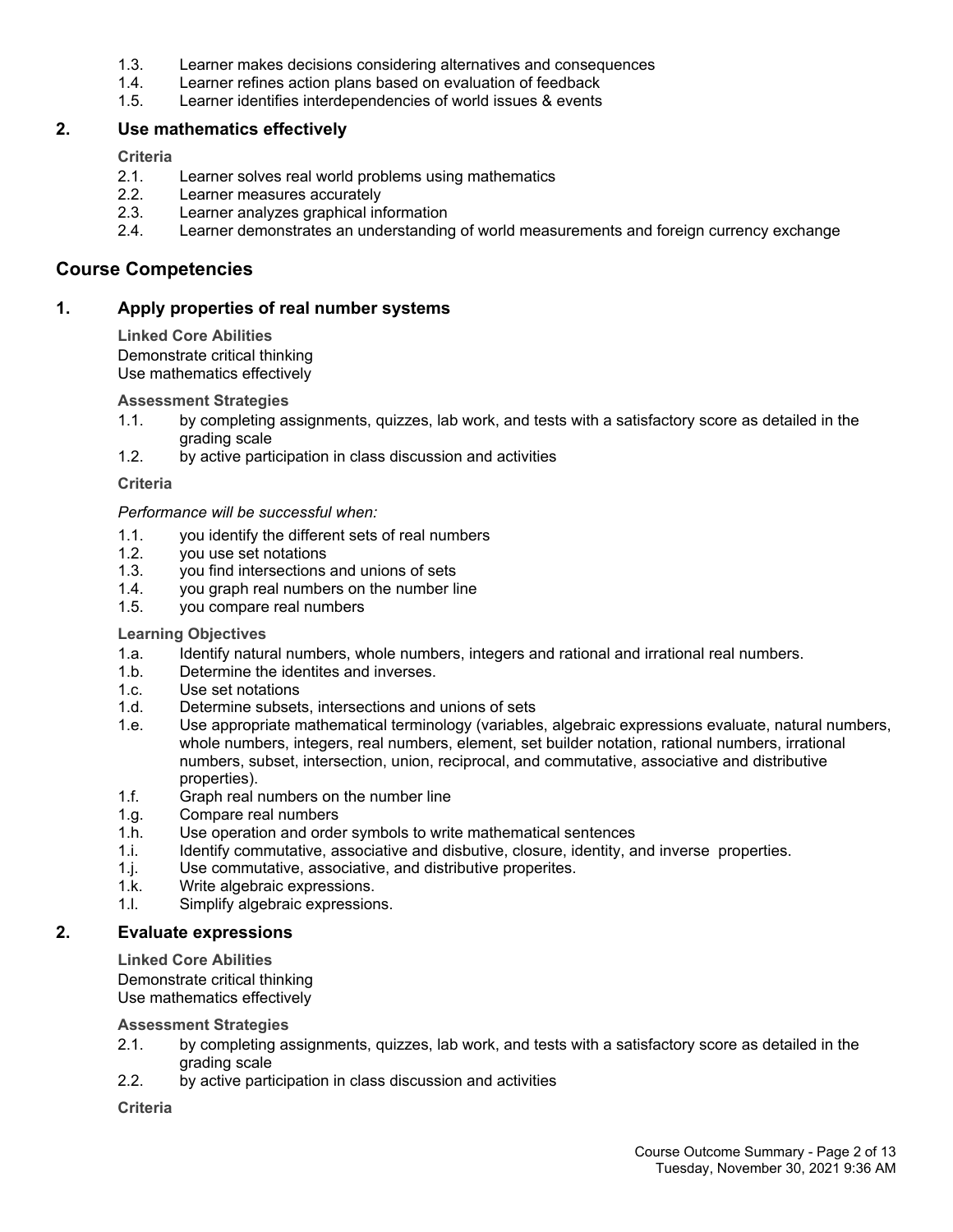- 1.3. Learner makes decisions considering alternatives and consequences
- 1.4. Learner refines action plans based on evaluation of feedback
- 1.5. Learner identifies interdependencies of world issues & events

#### **2. Use mathematics effectively**

#### **Criteria**

- 2.1. Learner solves real world problems using mathematics
- 2.2. Learner measures accurately
- 2.3. Learner analyzes graphical information
- 2.4. Learner demonstrates an understanding of world measurements and foreign currency exchange

## **Course Competencies**

## **1. Apply properties of real number systems**

#### **Linked Core Abilities** Demonstrate critical thinking Use mathematics effectively

## **Assessment Strategies**

- 1.1. by completing assignments, quizzes, lab work, and tests with a satisfactory score as detailed in the grading scale
- 1.2. by active participation in class discussion and activities

## **Criteria**

## *Performance will be successful when:*

- 1.1. you identify the different sets of real numbers
- 1.2. you use set notations
- 1.3. you find intersections and unions of sets
- 1.4. you graph real numbers on the number line
- 1.5. you compare real numbers

## **Learning Objectives**

- 1.a. Identify natural numbers, whole numbers, integers and rational and irrational real numbers.
- 1.b. Determine the identites and inverses.
- 1.c. Use set notations
- 1.d. Determine subsets, intersections and unions of sets
- 1.e. Use appropriate mathematical terminology (variables, algebraic expressions evaluate, natural numbers, whole numbers, integers, real numbers, element, set builder notation, rational numbers, irrational numbers, subset, intersection, union, reciprocal, and commutative, associative and distributive properties).
- 1.f. Graph real numbers on the number line
- 1.g. Compare real numbers
- 1.h. Use operation and order symbols to write mathematical sentences
- 1.i. Identify commutative, associative and disbutive, closure, identity, and inverse properties.
- 1.j. Use commutative, associative, and distributive properites.
- 1.k. Write algebraic expressions.
- 1.l. Simplify algebraic expressions.

## **2. Evaluate expressions**

**Linked Core Abilities**

Demonstrate critical thinking Use mathematics effectively

#### **Assessment Strategies**

- 2.1. by completing assignments, quizzes, lab work, and tests with a satisfactory score as detailed in the grading scale
- 2.2. by active participation in class discussion and activities

## **Criteria**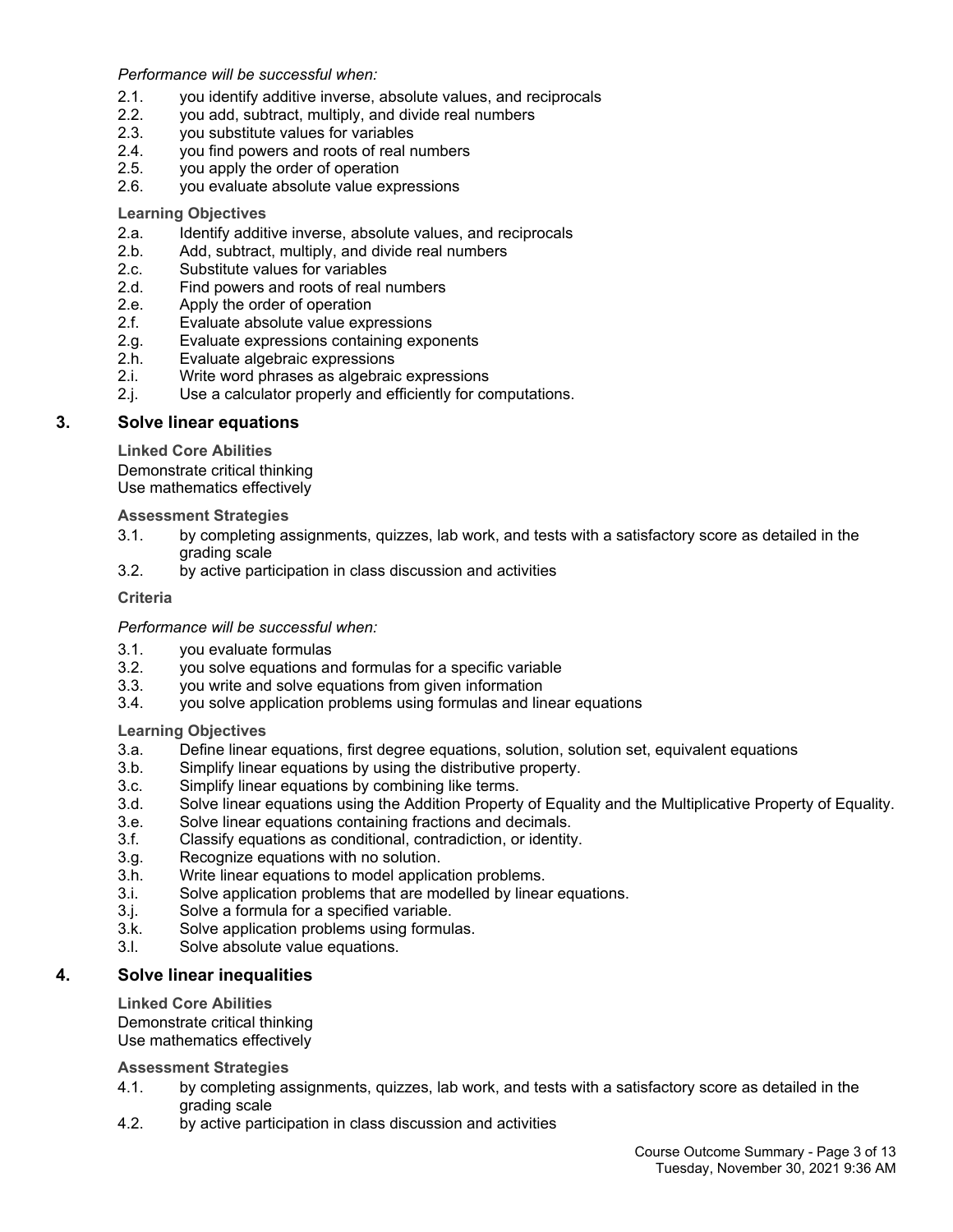*Performance will be successful when:*

- 2.1. you identify additive inverse, absolute values, and reciprocals
- 2.2. you add, subtract, multiply, and divide real numbers
- 2.3. you substitute values for variables
- 2.4. you find powers and roots of real numbers
- 2.5. you apply the order of operation
- 2.6. you evaluate absolute value expressions

#### **Learning Objectives**

- 2.a. Identify additive inverse, absolute values, and reciprocals
- 2.b. Add, subtract, multiply, and divide real numbers
- 2.c. Substitute values for variables
- 2.d. Find powers and roots of real numbers
- 2.e. Apply the order of operation
- 2.f. Evaluate absolute value expressions
- 2.g. Evaluate expressions containing exponents
- 2.h. Evaluate algebraic expressions
- 2.i. Write word phrases as algebraic expressions
- 2.j. Use a calculator properly and efficiently for computations.

#### **3. Solve linear equations**

**Linked Core Abilities**

Demonstrate critical thinking Use mathematics effectively

**Assessment Strategies**

- 3.1. by completing assignments, quizzes, lab work, and tests with a satisfactory score as detailed in the grading scale
- 3.2. by active participation in class discussion and activities

#### **Criteria**

#### *Performance will be successful when:*

- 3.1. you evaluate formulas
- 3.2. you solve equations and formulas for a specific variable
- 3.3. you write and solve equations from given information
- 3.4. you solve application problems using formulas and linear equations

#### **Learning Objectives**

- 3.a. Define linear equations, first degree equations, solution, solution set, equivalent equations
- 3.b. Simplify linear equations by using the distributive property.
- 3.c. Simplify linear equations by combining like terms.
- 3.d. Solve linear equations using the Addition Property of Equality and the Multiplicative Property of Equality.
- 3.e. Solve linear equations containing fractions and decimals.
- 3.f. Classify equations as conditional, contradiction, or identity.
- 3.g. Recognize equations with no solution.
- 3.h. Write linear equations to model application problems.
- 3.i. Solve application problems that are modelled by linear equations.
- 3.j. Solve a formula for a specified variable.
- 3.k. Solve application problems using formulas.
- 3.l. Solve absolute value equations.

#### **4. Solve linear inequalities**

**Linked Core Abilities**

Demonstrate critical thinking

Use mathematics effectively

**Assessment Strategies**

- 4.1. by completing assignments, quizzes, lab work, and tests with a satisfactory score as detailed in the grading scale
- 4.2. by active participation in class discussion and activities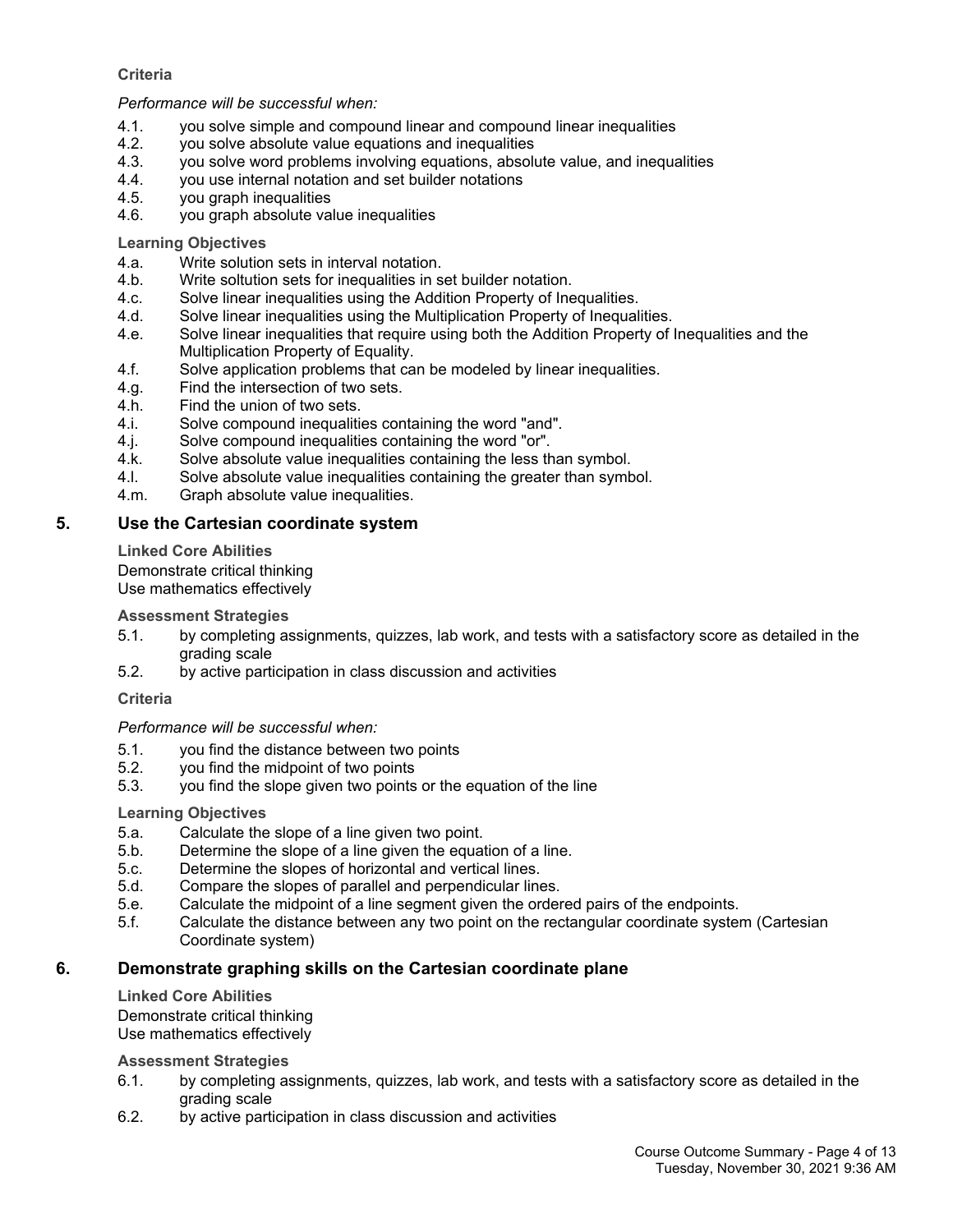## **Criteria**

#### *Performance will be successful when:*

- 4.1. you solve simple and compound linear and compound linear inequalities
- 4.2. you solve absolute value equations and inequalities
- 4.3. you solve word problems involving equations, absolute value, and inequalities
- 4.4. you use internal notation and set builder notations
- 4.5. you graph inequalities
- 4.6. you graph absolute value inequalities

**Learning Objectives**

- 4.a. Write solution sets in interval notation.
- 4.b. Write soltution sets for inequalities in set builder notation.
- 4.c. Solve linear inequalities using the Addition Property of Inequalities.
- 4.d. Solve linear inequalities using the Multiplication Property of Inequalities.
- 4.e. Solve linear inequalities that require using both the Addition Property of Inequalities and the Multiplication Property of Equality.
- 4.f. Solve application problems that can be modeled by linear inequalities.
- 4.g. Find the intersection of two sets.
- 4.h. Find the union of two sets.
- 4.i. Solve compound inequalities containing the word "and".
- 4.j. Solve compound inequalities containing the word "or".
- 4.k. Solve absolute value inequalities containing the less than symbol.
- 4.l. Solve absolute value inequalities containing the greater than symbol.
- 4.m. Graph absolute value inequalities.

## **5. Use the Cartesian coordinate system**

**Linked Core Abilities**

Demonstrate critical thinking Use mathematics effectively

**Assessment Strategies**

- 5.1. by completing assignments, quizzes, lab work, and tests with a satisfactory score as detailed in the grading scale
- 5.2. by active participation in class discussion and activities

**Criteria**

## *Performance will be successful when:*

- 5.1. you find the distance between two points
- 5.2. you find the midpoint of two points
- 5.3. you find the slope given two points or the equation of the line

## **Learning Objectives**

- 5.a. Calculate the slope of a line given two point.
- 5.b. Determine the slope of a line given the equation of a line.
- 5.c. Determine the slopes of horizontal and vertical lines.
- 5.d. Compare the slopes of parallel and perpendicular lines.
- 5.e. Calculate the midpoint of a line segment given the ordered pairs of the endpoints.
- 5.f. Calculate the distance between any two point on the rectangular coordinate system (Cartesian Coordinate system)

## **6. Demonstrate graphing skills on the Cartesian coordinate plane**

**Linked Core Abilities** Demonstrate critical thinking Use mathematics effectively

**Assessment Strategies**

- 6.1. by completing assignments, quizzes, lab work, and tests with a satisfactory score as detailed in the grading scale
- 6.2. by active participation in class discussion and activities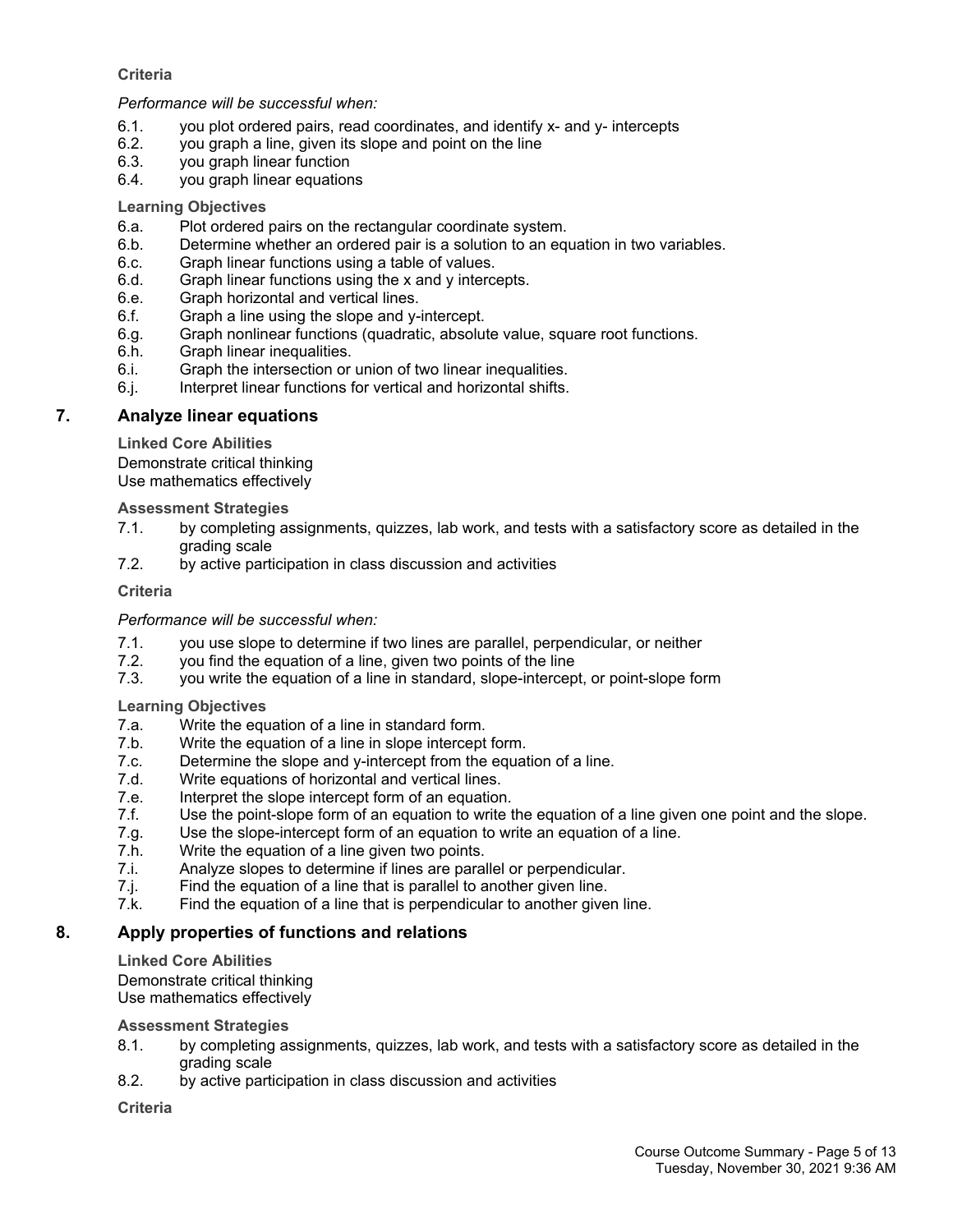## **Criteria**

*Performance will be successful when:*

- 6.1. you plot ordered pairs, read coordinates, and identify x- and y- intercepts
- 6.2. you graph a line, given its slope and point on the line
- 6.3. you graph linear function
- 6.4. you graph linear equations

#### **Learning Objectives**

- 6.a. Plot ordered pairs on the rectangular coordinate system.
- 6.b. Determine whether an ordered pair is a solution to an equation in two variables.
- 6.c. Graph linear functions using a table of values.
- 6.d. Graph linear functions using the x and y intercepts.
- 6.e. Graph horizontal and vertical lines.
- 6.f. Graph a line using the slope and y-intercept.
- 6.g. Graph nonlinear functions (quadratic, absolute value, square root functions.
- 6.h. Graph linear inequalities.
- 6.i. Graph the intersection or union of two linear inequalities.
- 6.j. Interpret linear functions for vertical and horizontal shifts.

## **7. Analyze linear equations**

**Linked Core Abilities**

Demonstrate critical thinking Use mathematics effectively

**Assessment Strategies**

- 7.1. by completing assignments, quizzes, lab work, and tests with a satisfactory score as detailed in the grading scale
- 7.2. by active participation in class discussion and activities

**Criteria**

#### *Performance will be successful when:*

- 7.1. you use slope to determine if two lines are parallel, perpendicular, or neither
- 7.2. you find the equation of a line, given two points of the line
- 7.3. you write the equation of a line in standard, slope-intercept, or point-slope form

**Learning Objectives**

- 7.a. Write the equation of a line in standard form.
- 7.b. Write the equation of a line in slope intercept form.
- 7.c. Determine the slope and y-intercept from the equation of a line.
- 7.d. Write equations of horizontal and vertical lines.
- 7.e. Interpret the slope intercept form of an equation.
- 7.f. Use the point-slope form of an equation to write the equation of a line given one point and the slope.
- 7.g. Use the slope-intercept form of an equation to write an equation of a line.
- 7.h. Write the equation of a line given two points.
- 7.i. Analyze slopes to determine if lines are parallel or perpendicular.
- 7.j. Find the equation of a line that is parallel to another given line.
- 7.k. Find the equation of a line that is perpendicular to another given line.

## **8. Apply properties of functions and relations**

**Linked Core Abilities**

Demonstrate critical thinking Use mathematics effectively

#### **Assessment Strategies**

- 8.1. by completing assignments, quizzes, lab work, and tests with a satisfactory score as detailed in the grading scale
- 8.2. by active participation in class discussion and activities

**Criteria**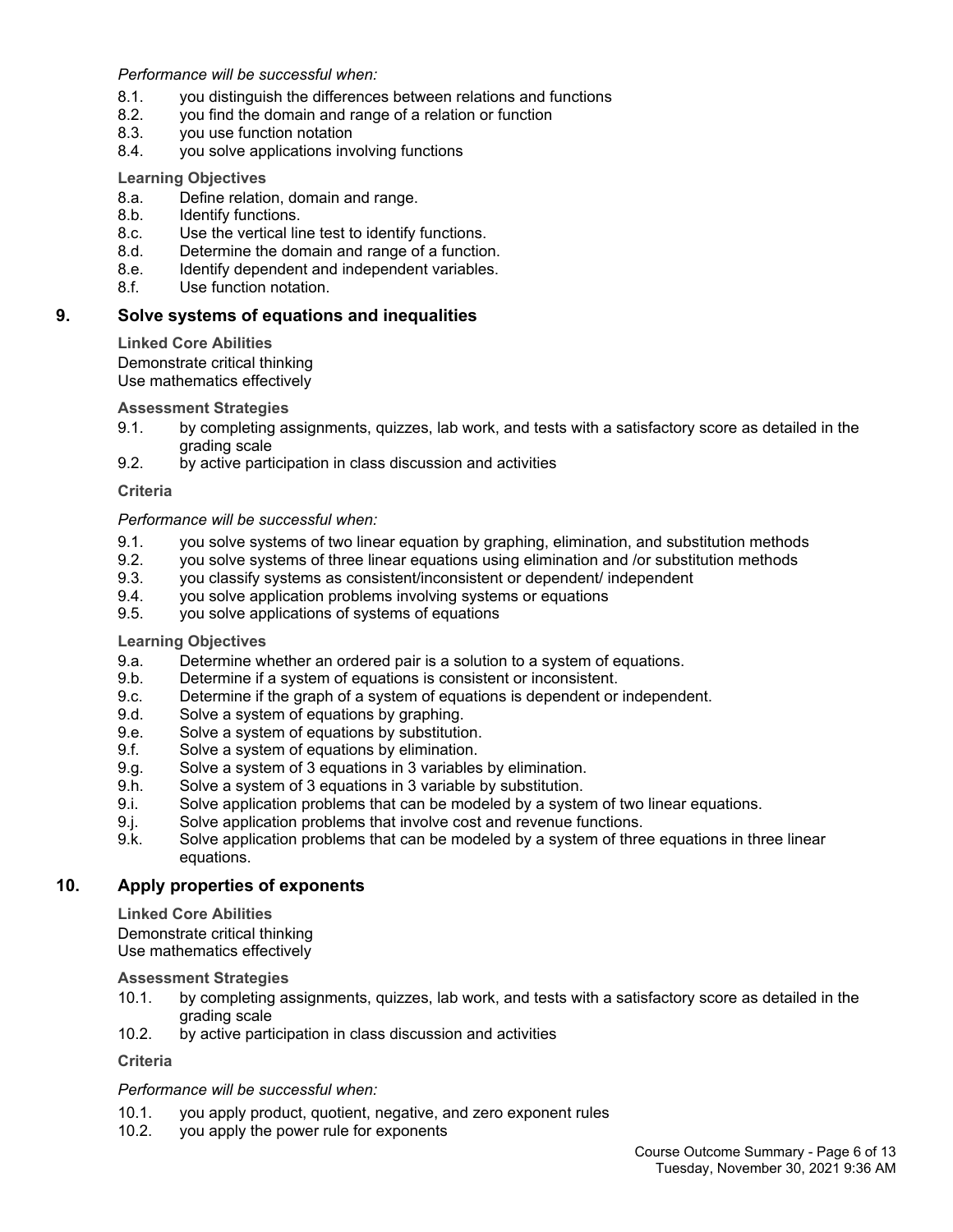*Performance will be successful when:*

- 8.1. you distinguish the differences between relations and functions
- 8.2. you find the domain and range of a relation or function
- 8.3. you use function notation
- 8.4. you solve applications involving functions

#### **Learning Objectives**

- 8.a. Define relation, domain and range.
- 8.b. Identify functions.
- 8.c. Use the vertical line test to identify functions.
- 8.d. Determine the domain and range of a function.
- 8.e. Identify dependent and independent variables.
- 8.f. Use function notation.

### **9. Solve systems of equations and inequalities**

**Linked Core Abilities**

Demonstrate critical thinking Use mathematics effectively

#### **Assessment Strategies**

- 9.1. by completing assignments, quizzes, lab work, and tests with a satisfactory score as detailed in the grading scale
- 9.2. by active participation in class discussion and activities

#### **Criteria**

#### *Performance will be successful when:*

- 9.1. you solve systems of two linear equation by graphing, elimination, and substitution methods
- 9.2. you solve systems of three linear equations using elimination and /or substitution methods
- 9.3. you classify systems as consistent/inconsistent or dependent/ independent
- 9.4. you solve application problems involving systems or equations
- 9.5. you solve applications of systems of equations

#### **Learning Objectives**

- 9.a. Determine whether an ordered pair is a solution to a system of equations.
- 9.b. Determine if a system of equations is consistent or inconsistent.
- 9.c. Determine if the graph of a system of equations is dependent or independent.
- 9.d. Solve a system of equations by graphing.
- 9.e. Solve a system of equations by substitution.
- 9.f. Solve a system of equations by elimination.
- 9.g. Solve a system of 3 equations in 3 variables by elimination.
- 9.h. Solve a system of 3 equations in 3 variable by substitution.
- 9.i. Solve application problems that can be modeled by a system of two linear equations.
- 9.j. Solve application problems that involve cost and revenue functions.
- 9.k. Solve application problems that can be modeled by a system of three equations in three linear equations.

## **10. Apply properties of exponents**

**Linked Core Abilities**

Demonstrate critical thinking Use mathematics effectively

#### **Assessment Strategies**

- 10.1. by completing assignments, quizzes, lab work, and tests with a satisfactory score as detailed in the grading scale
- 10.2. by active participation in class discussion and activities

# **Criteria**

## *Performance will be successful when:*

- 10.1. you apply product, quotient, negative, and zero exponent rules
- 10.2. you apply the power rule for exponents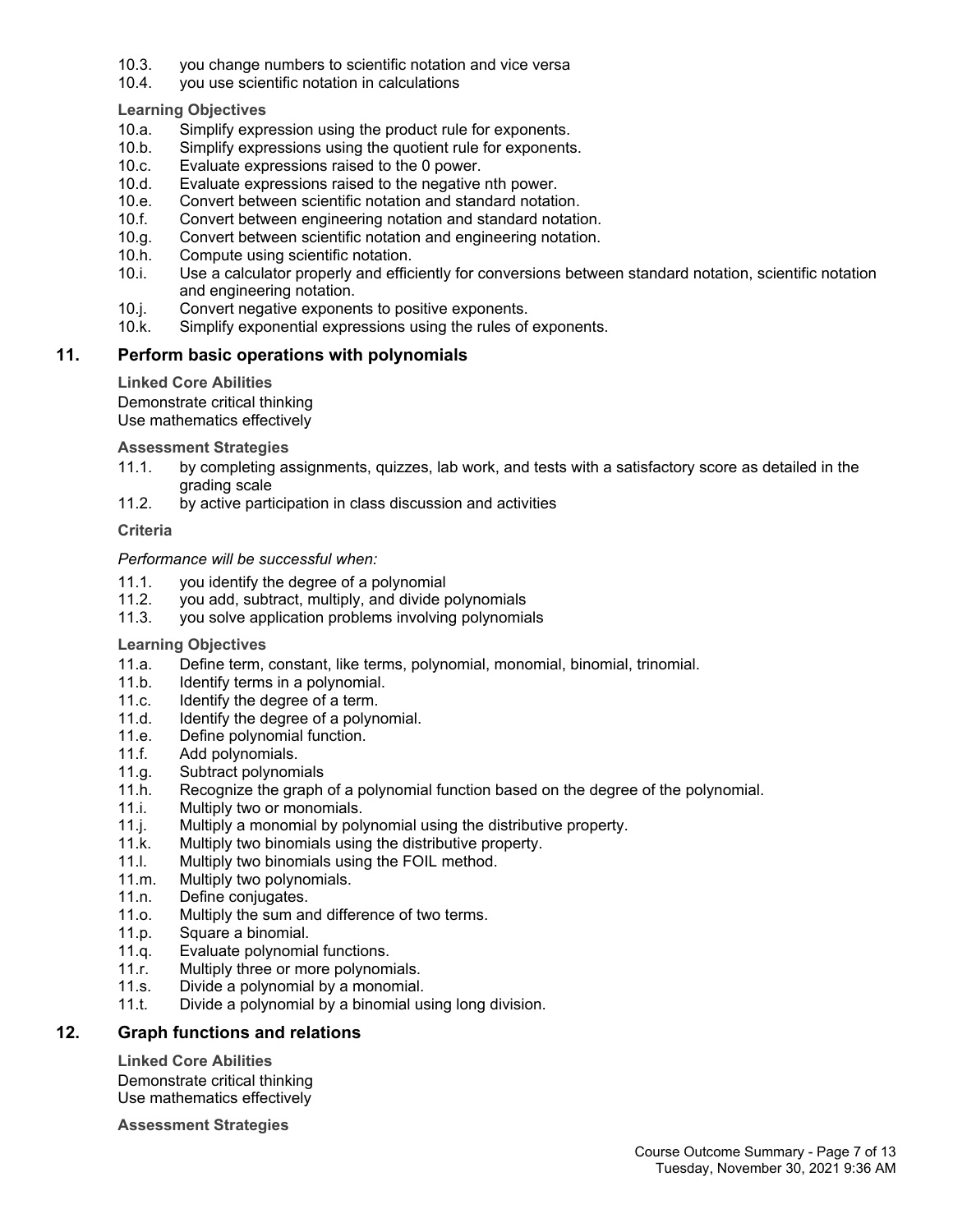- 10.3. you change numbers to scientific notation and vice versa
- 10.4. you use scientific notation in calculations

# **Learning Objectives**

- 10.a. Simplify expression using the product rule for exponents.
- 10.b. Simplify expressions using the quotient rule for exponents.
- 10.c. Evaluate expressions raised to the 0 power.<br>10.d. Evaluate expressions raised to the negative
- Evaluate expressions raised to the negative nth power.
- 10.e. Convert between scientific notation and standard notation.
- 10.f. Convert between engineering notation and standard notation.
- 10.g. Convert between scientific notation and engineering notation.
- 10.h. Compute using scientific notation.
- 10.i. Use a calculator properly and efficiently for conversions between standard notation, scientific notation and engineering notation.
- 10.j. Convert negative exponents to positive exponents.
- 10.k. Simplify exponential expressions using the rules of exponents.

# **11. Perform basic operations with polynomials**

# **Linked Core Abilities**

Demonstrate critical thinking

Use mathematics effectively

# **Assessment Strategies**

- 11.1. by completing assignments, quizzes, lab work, and tests with a satisfactory score as detailed in the grading scale
- 11.2. by active participation in class discussion and activities

## **Criteria**

## *Performance will be successful when:*

- 11.1. you identify the degree of a polynomial<br>11.2. vou add. subtract. multiply. and divide i
- you add, subtract, multiply, and divide polynomials
- 11.3. you solve application problems involving polynomials

## **Learning Objectives**

- 11.a. Define term, constant, like terms, polynomial, monomial, binomial, trinomial.
- 11.b. Identify terms in a polynomial.
- 11.c. Identify the degree of a term.
- 11.d. Identify the degree of a polynomial.
- 11.e. Define polynomial function.
- 11.f. Add polynomials.
- 11.g. Subtract polynomials
- 11.h. Recognize the graph of a polynomial function based on the degree of the polynomial.
- 11.i. Multiply two or monomials.
- 11.j. Multiply a monomial by polynomial using the distributive property.
- 11.k. Multiply two binomials using the distributive property.
- 11.l. Multiply two binomials using the FOIL method.
- 11.m. Multiply two polynomials.
- 11.n. Define conjugates.
- 11.o. Multiply the sum and difference of two terms.
- 11.p. Square a binomial.
- 11.q. Evaluate polynomial functions.
- 11.r. Multiply three or more polynomials.
- 11.s. Divide a polynomial by a monomial.
- 11.t. Divide a polynomial by a binomial using long division.

## **12. Graph functions and relations**

**Linked Core Abilities** Demonstrate critical thinking Use mathematics effectively

**Assessment Strategies**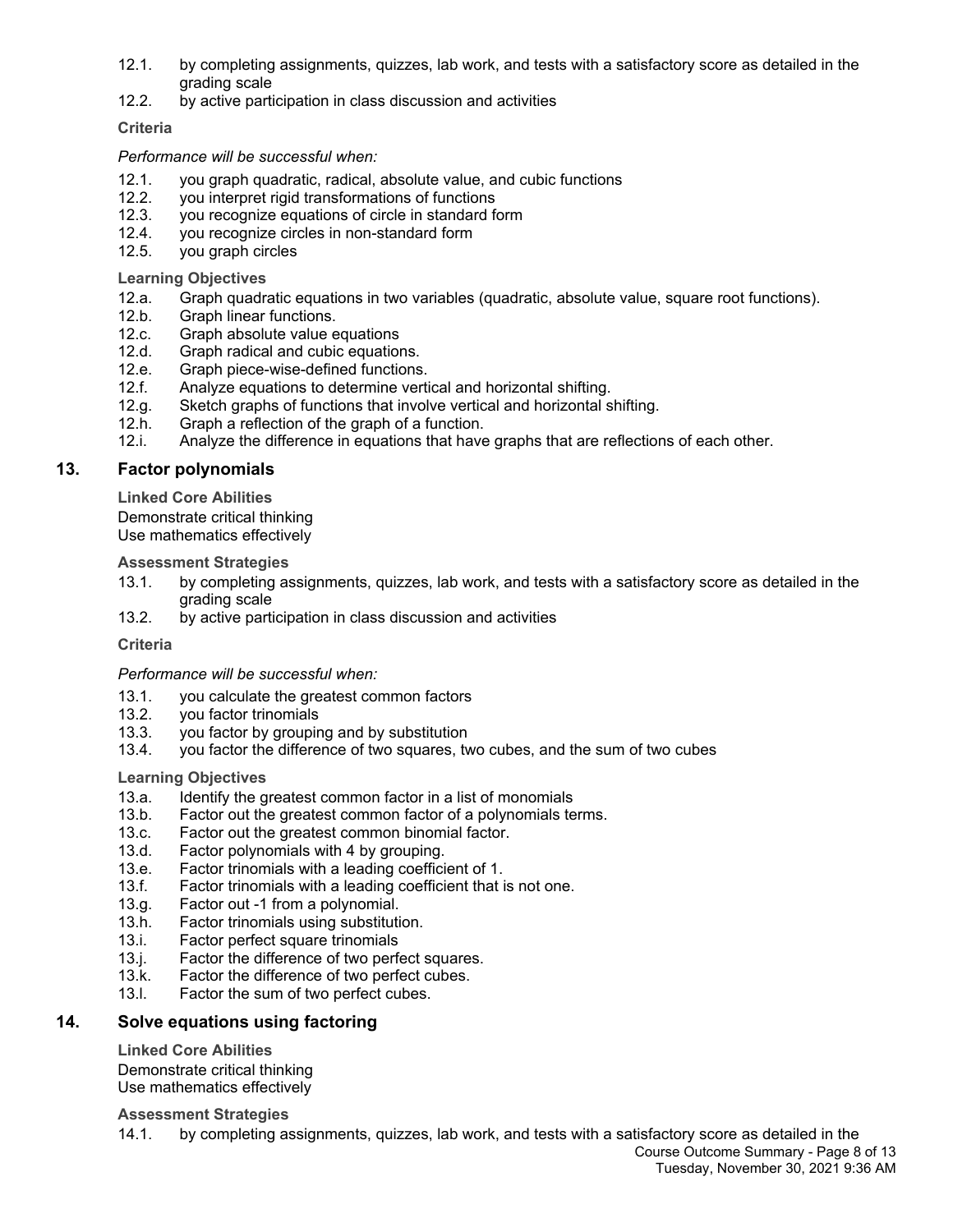- 12.1. by completing assignments, quizzes, lab work, and tests with a satisfactory score as detailed in the grading scale
- 12.2. by active participation in class discussion and activities

## **Criteria**

## *Performance will be successful when:*

- 12.1. you graph quadratic, radical, absolute value, and cubic functions
- 12.2. you interpret rigid transformations of functions<br>12.3. vou recognize equations of circle in standard for
- 12.3. you recognize equations of circle in standard form
- 12.4. you recognize circles in non-standard form
- 12.5. you graph circles

## **Learning Objectives**

- 12.a. Graph quadratic equations in two variables (quadratic, absolute value, square root functions).
- 12.b. Graph linear functions.
- 12.c. Graph absolute value equations<br>12.d. Graph radical and cubic equation
- Graph radical and cubic equations.
- 12.e. Graph piece-wise-defined functions.
- 12.f. Analyze equations to determine vertical and horizontal shifting.
- 12.g. Sketch graphs of functions that involve vertical and horizontal shifting.
- 12.h. Graph a reflection of the graph of a function.
- 12.i. Analyze the difference in equations that have graphs that are reflections of each other.

## **13. Factor polynomials**

**Linked Core Abilities**

Demonstrate critical thinking Use mathematics effectively

## **Assessment Strategies**

- 13.1. by completing assignments, quizzes, lab work, and tests with a satisfactory score as detailed in the grading scale
- 13.2. by active participation in class discussion and activities

## **Criteria**

## *Performance will be successful when:*

- 13.1. you calculate the greatest common factors
- 13.2. you factor trinomials
- 13.3. you factor by grouping and by substitution
- 13.4. you factor the difference of two squares, two cubes, and the sum of two cubes

## **Learning Objectives**

- 13.a. Identify the greatest common factor in a list of monomials
- 13.b. Factor out the greatest common factor of a polynomials terms.
- 13.c. Factor out the greatest common binomial factor.
- 13.d. Factor polynomials with 4 by grouping.
- 13.e. Factor trinomials with a leading coefficient of 1.
- 13.f. Factor trinomials with a leading coefficient that is not one.
- 13.g. Factor out -1 from a polynomial.
- 13.h. Factor trinomials using substitution.
- 13.i. Factor perfect square trinomials
- 13.j. Factor the difference of two perfect squares.
- 13.k. Factor the difference of two perfect cubes.
- 13.l. Factor the sum of two perfect cubes.

## **14. Solve equations using factoring**

## **Linked Core Abilities**

Demonstrate critical thinking Use mathematics effectively

## **Assessment Strategies**

14.1. by completing assignments, quizzes, lab work, and tests with a satisfactory score as detailed in the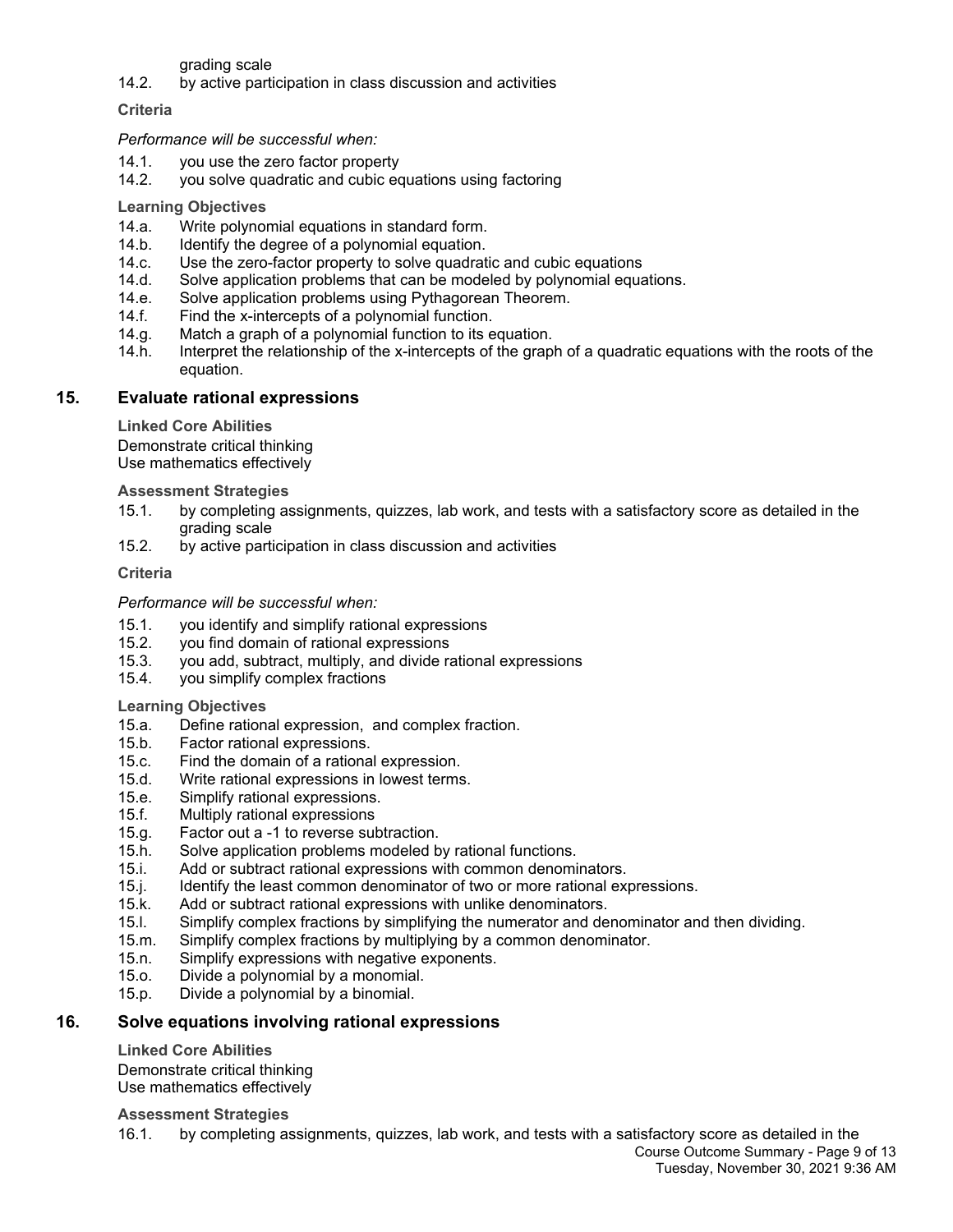grading scale

14.2. by active participation in class discussion and activities

**Criteria**

*Performance will be successful when:*

- 14.1. you use the zero factor property
- 14.2. you solve quadratic and cubic equations using factoring

**Learning Objectives**

- 14.a. Write polynomial equations in standard form.
- 14.b. Identify the degree of a polynomial equation.
- 14.c. Use the zero-factor property to solve quadratic and cubic equations
- 14.d. Solve application problems that can be modeled by polynomial equations.
- 14.e. Solve application problems using Pythagorean Theorem.
- 14.f. Find the x-intercepts of a polynomial function.
- 14.g. Match a graph of a polynomial function to its equation.
- 14.h. Interpret the relationship of the x-intercepts of the graph of a quadratic equations with the roots of the equation.

## **15. Evaluate rational expressions**

**Linked Core Abilities**

Demonstrate critical thinking Use mathematics effectively

**Assessment Strategies**

- 15.1. by completing assignments, quizzes, lab work, and tests with a satisfactory score as detailed in the grading scale
- 15.2. by active participation in class discussion and activities

#### **Criteria**

*Performance will be successful when:*

- 15.1. you identify and simplify rational expressions
- 15.2. you find domain of rational expressions
- 15.3. you add, subtract, multiply, and divide rational expressions
- 15.4. you simplify complex fractions

**Learning Objectives**

- 15.a. Define rational expression, and complex fraction.
- 15.b. Factor rational expressions.
- 15.c. Find the domain of a rational expression.
- 15.d. Write rational expressions in lowest terms.
- 15.e. Simplify rational expressions.
- 15.f. Multiply rational expressions
- 15.g. Factor out a -1 to reverse subtraction.
- 15.h. Solve application problems modeled by rational functions.
- 15.i. Add or subtract rational expressions with common denominators.
- 15.j. Identify the least common denominator of two or more rational expressions.
- 15.k. Add or subtract rational expressions with unlike denominators.
- 15.l. Simplify complex fractions by simplifying the numerator and denominator and then dividing.
- 15.m. Simplify complex fractions by multiplying by a common denominator.
- 15.n. Simplify expressions with negative exponents.
- 15.o. Divide a polynomial by a monomial.
- 15.p. Divide a polynomial by a binomial.

## **16. Solve equations involving rational expressions**

#### **Linked Core Abilities**

Demonstrate critical thinking Use mathematics effectively

#### **Assessment Strategies**

16.1. by completing assignments, quizzes, lab work, and tests with a satisfactory score as detailed in the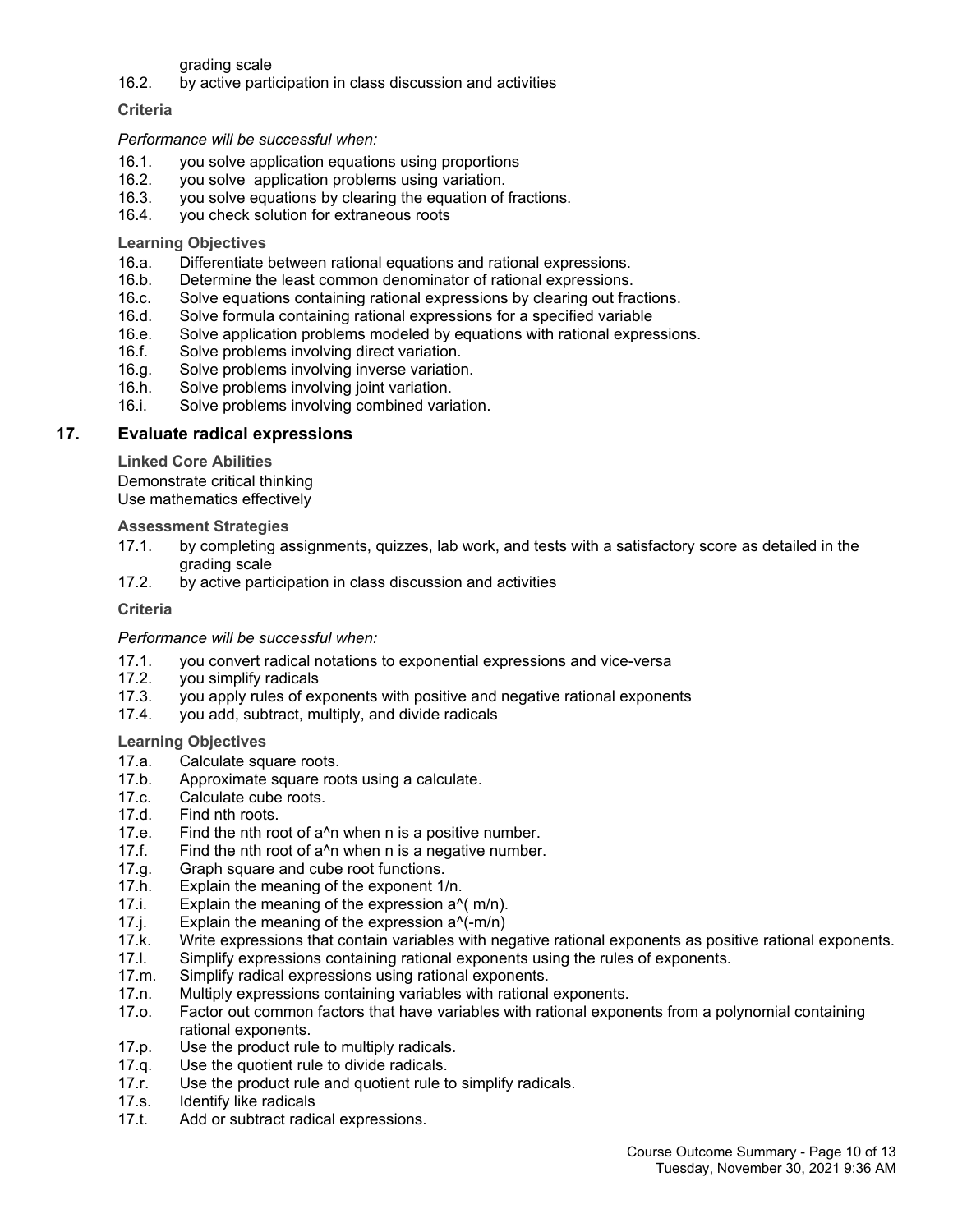grading scale

16.2. by active participation in class discussion and activities

#### **Criteria**

#### *Performance will be successful when:*

- 16.1. you solve application equations using proportions
- 16.2. you solve application problems using variation.
- 16.3. you solve equations by clearing the equation of fractions.
- 16.4. you check solution for extraneous roots

#### **Learning Objectives**

- 16.a. Differentiate between rational equations and rational expressions.
- 16.b. Determine the least common denominator of rational expressions.
- 16.c. Solve equations containing rational expressions by clearing out fractions.
- 16.d. Solve formula containing rational expressions for a specified variable
- 16.e. Solve application problems modeled by equations with rational expressions.
- 16.f. Solve problems involving direct variation.
- 16.g. Solve problems involving inverse variation.
- 16.h. Solve problems involving joint variation.
- 16.i. Solve problems involving combined variation.

## **17. Evaluate radical expressions**

**Linked Core Abilities**

Demonstrate critical thinking

Use mathematics effectively

#### **Assessment Strategies**

- 17.1. by completing assignments, quizzes, lab work, and tests with a satisfactory score as detailed in the grading scale
- 17.2. by active participation in class discussion and activities

#### **Criteria**

#### *Performance will be successful when:*

- 17.1. you convert radical notations to exponential expressions and vice-versa
- 17.2. you simplify radicals
- 17.3. you apply rules of exponents with positive and negative rational exponents
- 17.4. you add, subtract, multiply, and divide radicals

#### **Learning Objectives**

- 17.a. Calculate square roots.
- 17.b. Approximate square roots using a calculate.
- 17.c. Calculate cube roots.
- 17.d. Find nth roots.
- 17.e. Find the nth root of a^n when n is a positive number.
- 17.f. Find the nth root of a^n when n is a negative number.
- 17.g. Graph square and cube root functions.
- 17.h. Explain the meaning of the exponent 1/n.
- 17.i. Explain the meaning of the expression a^( m/n).
- 17.j. Explain the meaning of the expression a^(-m/n)
- 17.k. Write expressions that contain variables with negative rational exponents as positive rational exponents.
- 17.l. Simplify expressions containing rational exponents using the rules of exponents.<br>17.m. Simplify radical expressions using rational exponents.
- Simplify radical expressions using rational exponents.
- 17.n. Multiply expressions containing variables with rational exponents.
- 17.o. Factor out common factors that have variables with rational exponents from a polynomial containing rational exponents.
- 17.p. Use the product rule to multiply radicals.
- 17.q. Use the quotient rule to divide radicals.
- 17.r. Use the product rule and quotient rule to simplify radicals.
- 17.s. Identify like radicals
- 17.t. Add or subtract radical expressions.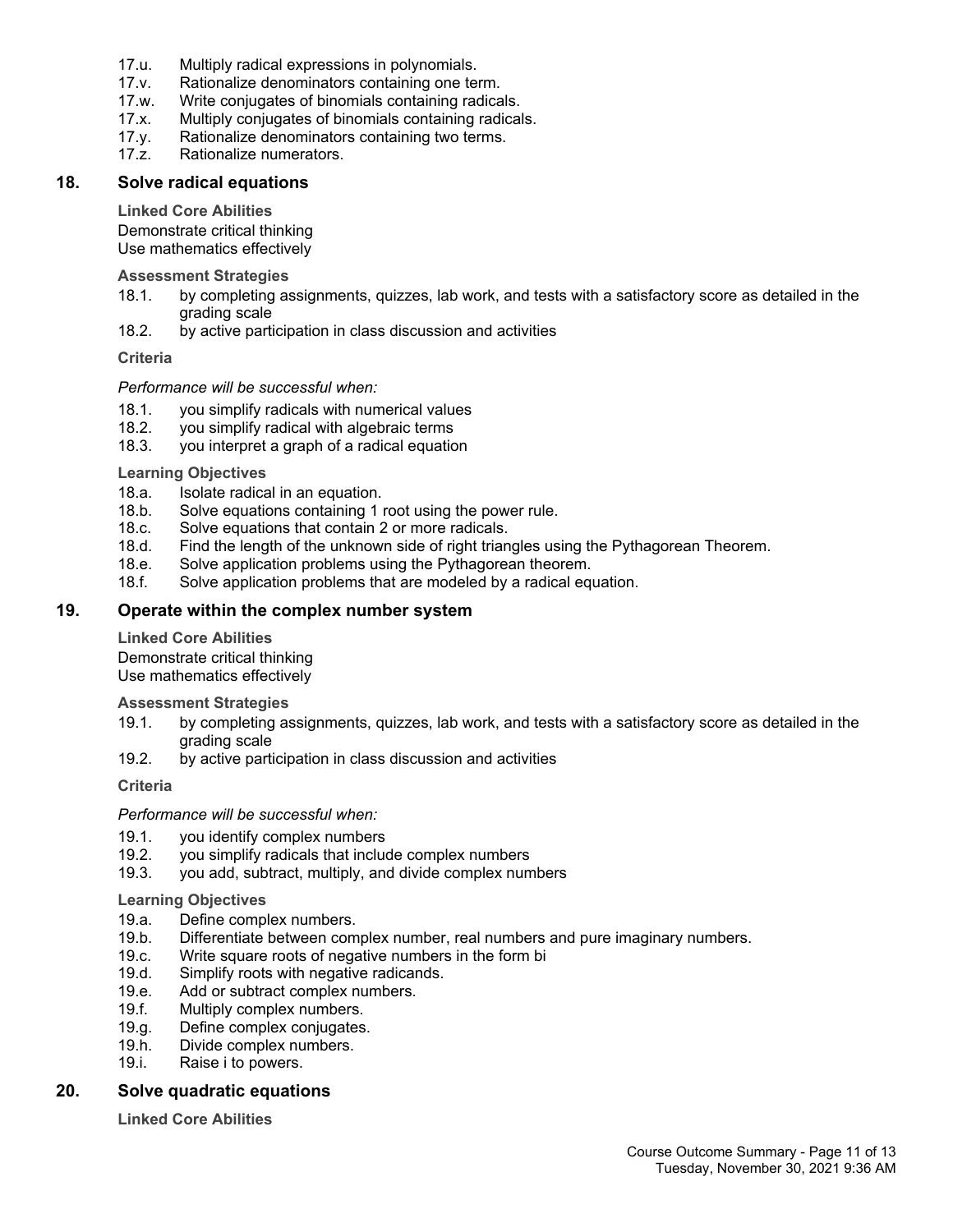- 17.u. Multiply radical expressions in polynomials.
- 17.v. Rationalize denominators containing one term.
- 17.w. Write conjugates of binomials containing radicals.
- 17.x. Multiply conjugates of binomials containing radicals.
- 17.y. Rationalize denominators containing two terms.<br>17.z. Rationalize numerators.
- Rationalize numerators.

### **18. Solve radical equations**

#### **Linked Core Abilities**

Demonstrate critical thinking Use mathematics effectively

#### **Assessment Strategies**

- 18.1. by completing assignments, quizzes, lab work, and tests with a satisfactory score as detailed in the grading scale
- 18.2. by active participation in class discussion and activities

#### **Criteria**

### *Performance will be successful when:*

- 18.1. you simplify radicals with numerical values
- 18.2. you simplify radical with algebraic terms
- 18.3. you interpret a graph of a radical equation

#### **Learning Objectives**

- 18.a. Isolate radical in an equation.
- 18.b. Solve equations containing 1 root using the power rule.
- 18.c. Solve equations that contain 2 or more radicals.
- 18.d. Find the length of the unknown side of right triangles using the Pythagorean Theorem.
- 18.e. Solve application problems using the Pythagorean theorem.
- 18.f. Solve application problems that are modeled by a radical equation.

## **19. Operate within the complex number system**

#### **Linked Core Abilities**

Demonstrate critical thinking Use mathematics effectively

**Assessment Strategies**

- 19.1. by completing assignments, quizzes, lab work, and tests with a satisfactory score as detailed in the grading scale
- 19.2. by active participation in class discussion and activities

## **Criteria**

#### *Performance will be successful when:*

- 19.1. you identify complex numbers
- 19.2. you simplify radicals that include complex numbers 19.3. you add, subtract, multiply, and divide complex num
- you add, subtract, multiply, and divide complex numbers

#### **Learning Objectives**

- 19.a. Define complex numbers.
- 19.b. Differentiate between complex number, real numbers and pure imaginary numbers.
- 19.c. Write square roots of negative numbers in the form bi
- 19.d. Simplify roots with negative radicands.
- 19.e. Add or subtract complex numbers.
- 19.f. Multiply complex numbers.
- 19.g. Define complex conjugates.
- 19.h. Divide complex numbers.
- 19.i. Raise i to powers.

## **20. Solve quadratic equations**

**Linked Core Abilities**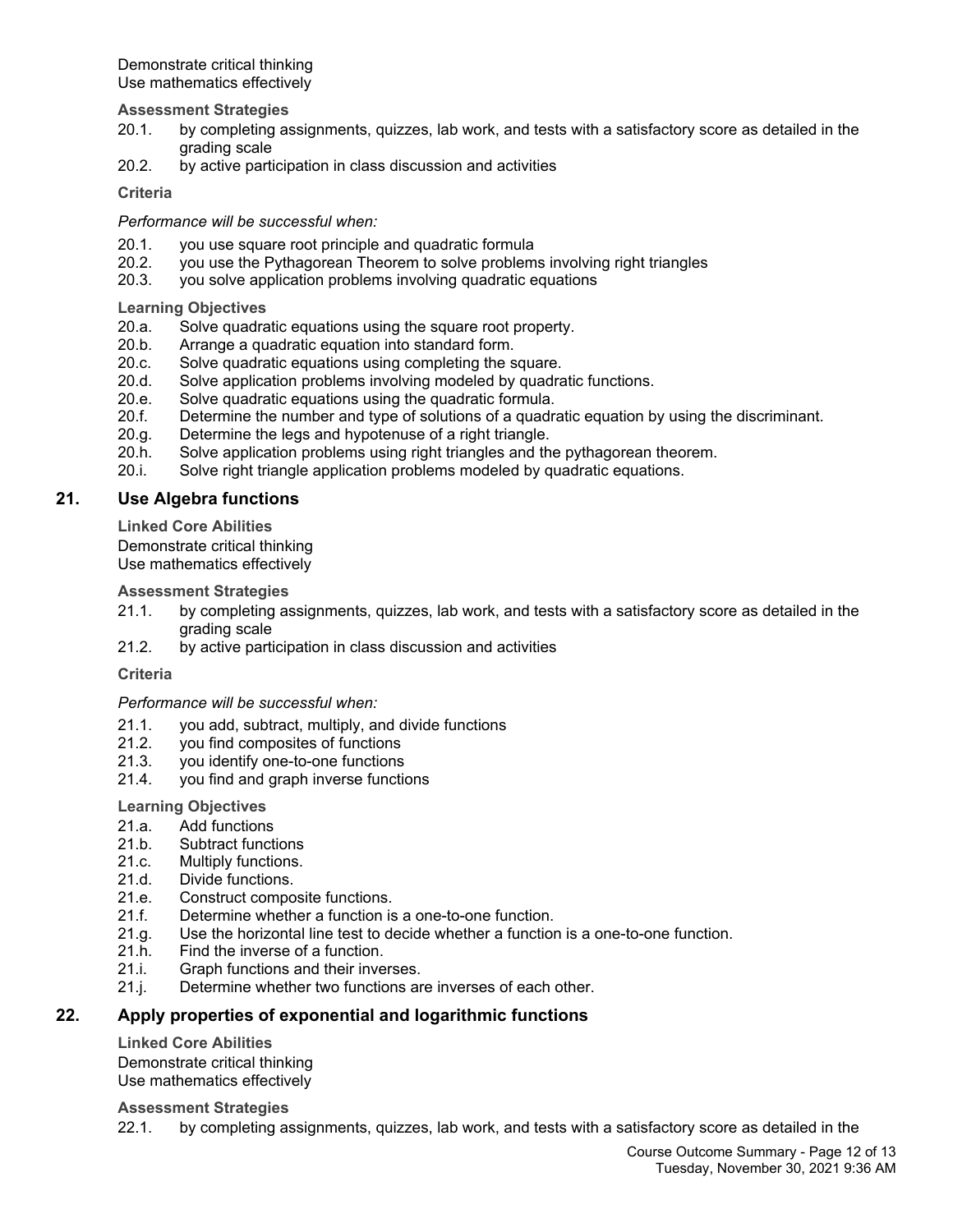Demonstrate critical thinking Use mathematics effectively

**Assessment Strategies**

- 20.1. by completing assignments, quizzes, lab work, and tests with a satisfactory score as detailed in the grading scale
- 20.2. by active participation in class discussion and activities

**Criteria**

*Performance will be successful when:*

- 20.1. you use square root principle and quadratic formula
- 20.2. you use the Pythagorean Theorem to solve problems involving right triangles
- 20.3. you solve application problems involving quadratic equations

**Learning Objectives**

- 20.a. Solve quadratic equations using the square root property.
- 20.b. Arrange a quadratic equation into standard form.
- 20.c. Solve quadratic equations using completing the square.
- 20.d. Solve application problems involving modeled by quadratic functions.
- 20.e. Solve quadratic equations using the quadratic formula.
- 20.f. Determine the number and type of solutions of a quadratic equation by using the discriminant.
- 20.g. Determine the legs and hypotenuse of a right triangle.
- 20.h. Solve application problems using right triangles and the pythagorean theorem.
- 20.i. Solve right triangle application problems modeled by quadratic equations.

## **21. Use Algebra functions**

**Linked Core Abilities**

Demonstrate critical thinking Use mathematics effectively

**Assessment Strategies**

- 21.1. by completing assignments, quizzes, lab work, and tests with a satisfactory score as detailed in the grading scale
- 21.2. by active participation in class discussion and activities

**Criteria**

*Performance will be successful when:*

- 21.1. you add, subtract, multiply, and divide functions
- 21.2. you find composites of functions
- 21.3. you identify one-to-one functions
- 21.4. you find and graph inverse functions

#### **Learning Objectives**

- 21.a. Add functions
- 21.b. Subtract functions<br>21.c. Multiply functions.
- Multiply functions.
- 21.d. Divide functions.
- 21.e. Construct composite functions.
- 21.f. Determine whether a function is a one-to-one function.
- 21.g. Use the horizontal line test to decide whether a function is a one-to-one function.
- 21.h. Find the inverse of a function.
- 21.i. Graph functions and their inverses.
- 21.j. Determine whether two functions are inverses of each other.

## **22. Apply properties of exponential and logarithmic functions**

**Linked Core Abilities** Demonstrate critical thinking Use mathematics effectively

**Assessment Strategies**

22.1. by completing assignments, quizzes, lab work, and tests with a satisfactory score as detailed in the